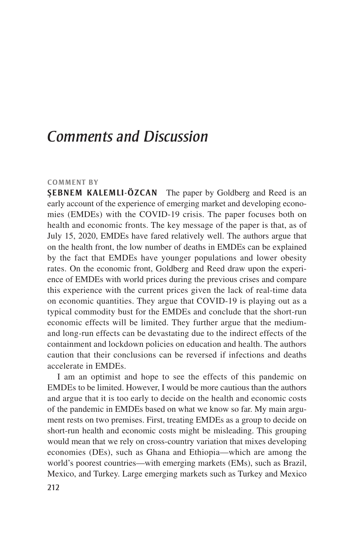# *Comments and Discussion*

## **COMMENT BY**

**SEBNEM KALEMLI-ÖZCAN** The paper by Goldberg and Reed is an early account of the experience of emerging market and developing economies (EMDEs) with the COVID-19 crisis. The paper focuses both on health and economic fronts. The key message of the paper is that, as of July 15, 2020, EMDEs have fared relatively well. The authors argue that on the health front, the low number of deaths in EMDEs can be explained by the fact that EMDEs have younger populations and lower obesity rates. On the economic front, Goldberg and Reed draw upon the experience of EMDEs with world prices during the previous crises and compare this experience with the current prices given the lack of real-time data on economic quantities. They argue that COVID-19 is playing out as a typical commodity bust for the EMDEs and conclude that the short-run economic effects will be limited. They further argue that the mediumand long-run effects can be devastating due to the indirect effects of the containment and lockdown policies on education and health. The authors caution that their conclusions can be reversed if infections and deaths accelerate in EMDEs.

I am an optimist and hope to see the effects of this pandemic on EMDEs to be limited. However, I would be more cautious than the authors and argue that it is too early to decide on the health and economic costs of the pandemic in EMDEs based on what we know so far. My main argument rests on two premises. First, treating EMDEs as a group to decide on short-run health and economic costs might be misleading. This grouping would mean that we rely on cross-country variation that mixes developing economies (DEs), such as Ghana and Ethiopia—which are among the world's poorest countries—with emerging markets (EMs), such as Brazil, Mexico, and Turkey. Large emerging markets such as Turkey and Mexico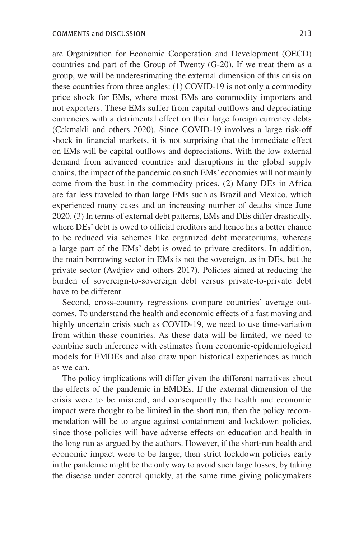are Organization for Economic Cooperation and Development (OECD) countries and part of the Group of Twenty (G-20). If we treat them as a group, we will be underestimating the external dimension of this crisis on these countries from three angles: (1) COVID-19 is not only a commodity price shock for EMs, where most EMs are commodity importers and not exporters. These EMs suffer from capital outflows and depreciating currencies with a detrimental effect on their large foreign currency debts (Cakmakli and others 2020). Since COVID-19 involves a large risk-off shock in financial markets, it is not surprising that the immediate effect on EMs will be capital outflows and depreciations. With the low external demand from advanced countries and disruptions in the global supply chains, the impact of the pandemic on such EMs' economies will not mainly come from the bust in the commodity prices. (2) Many DEs in Africa are far less traveled to than large EMs such as Brazil and Mexico, which experienced many cases and an increasing number of deaths since June 2020. (3) In terms of external debt patterns, EMs and DEs differ drastically, where DEs' debt is owed to official creditors and hence has a better chance to be reduced via schemes like organized debt moratoriums, whereas a large part of the EMs' debt is owed to private creditors. In addition, the main borrowing sector in EMs is not the sovereign, as in DEs, but the private sector (Avdjiev and others 2017). Policies aimed at reducing the burden of sovereign-to-sovereign debt versus private-to-private debt have to be different.

Second, cross-country regressions compare countries' average outcomes. To understand the health and economic effects of a fast moving and highly uncertain crisis such as COVID-19, we need to use time-variation from within these countries. As these data will be limited, we need to combine such inference with estimates from economic-epidemiological models for EMDEs and also draw upon historical experiences as much as we can.

The policy implications will differ given the different narratives about the effects of the pandemic in EMDEs. If the external dimension of the crisis were to be misread, and consequently the health and economic impact were thought to be limited in the short run, then the policy recommendation will be to argue against containment and lockdown policies, since those policies will have adverse effects on education and health in the long run as argued by the authors. However, if the short-run health and economic impact were to be larger, then strict lockdown policies early in the pandemic might be the only way to avoid such large losses, by taking the disease under control quickly, at the same time giving policymakers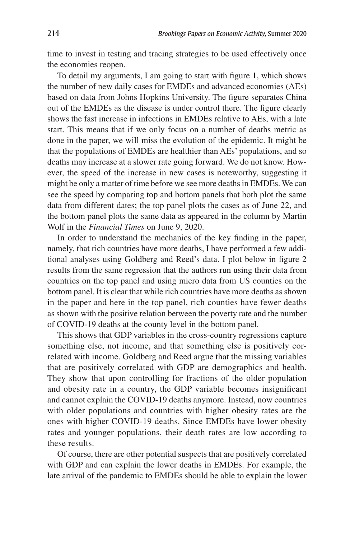time to invest in testing and tracing strategies to be used effectively once the economies reopen.

To detail my arguments, I am going to start with figure 1, which shows the number of new daily cases for EMDEs and advanced economies (AEs) based on data from Johns Hopkins University. The figure separates China out of the EMDEs as the disease is under control there. The figure clearly shows the fast increase in infections in EMDEs relative to AEs, with a late start. This means that if we only focus on a number of deaths metric as done in the paper, we will miss the evolution of the epidemic. It might be that the populations of EMDEs are healthier than AEs' populations, and so deaths may increase at a slower rate going forward. We do not know. However, the speed of the increase in new cases is noteworthy, suggesting it might be only a matter of time before we see more deaths in EMDEs. We can see the speed by comparing top and bottom panels that both plot the same data from different dates; the top panel plots the cases as of June 22, and the bottom panel plots the same data as appeared in the column by Martin Wolf in the *Financial Times* on June 9, 2020.

In order to understand the mechanics of the key finding in the paper, namely, that rich countries have more deaths, I have performed a few additional analyses using Goldberg and Reed's data. I plot below in figure 2 results from the same regression that the authors run using their data from countries on the top panel and using micro data from US counties on the bottom panel. It is clear that while rich countries have more deaths as shown in the paper and here in the top panel, rich counties have fewer deaths as shown with the positive relation between the poverty rate and the number of COVID-19 deaths at the county level in the bottom panel.

This shows that GDP variables in the cross-country regressions capture something else, not income, and that something else is positively correlated with income. Goldberg and Reed argue that the missing variables that are positively correlated with GDP are demographics and health. They show that upon controlling for fractions of the older population and obesity rate in a country, the GDP variable becomes insignificant and cannot explain the COVID-19 deaths anymore. Instead, now countries with older populations and countries with higher obesity rates are the ones with higher COVID-19 deaths. Since EMDEs have lower obesity rates and younger populations, their death rates are low according to these results.

Of course, there are other potential suspects that are positively correlated with GDP and can explain the lower deaths in EMDEs. For example, the late arrival of the pandemic to EMDEs should be able to explain the lower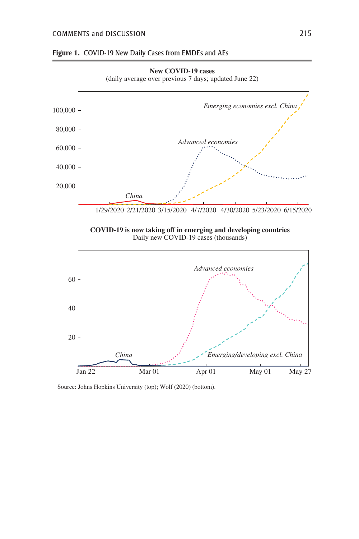

**Figure 1.** COVID-19 New Daily Cases from EMDEs and AEs





Source: Johns Hopkins University (top); Wolf (2020) (bottom).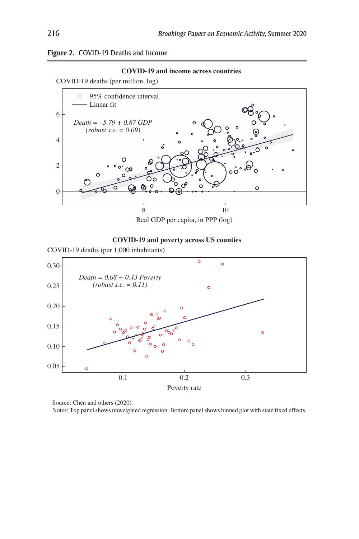### **Figure 2.** COVID-19 Deaths and Income



COVID-19 deaths (per million, log)



Real GDP per capita, in PPP (log)



COVID-19 deaths (per 1,000 inhabitants)



Source: Chen and others (2020).

Notes: Top panel shows unweighted regression. Bottom panel shows binned plot with state fixed effects.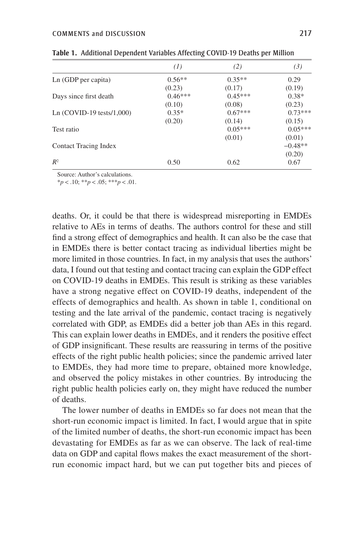|                             | (I)       | (2)       | (3)       |
|-----------------------------|-----------|-----------|-----------|
| Ln (GDP per capita)         | $0.56**$  | $0.35**$  | 0.29      |
|                             | (0.23)    | (0.17)    | (0.19)    |
| Days since first death      | $0.46***$ | $0.45***$ | $0.38*$   |
|                             | (0.10)    | (0.08)    | (0.23)    |
| Ln $(COVID-19$ tests/1,000) | $0.35*$   | $0.67***$ | $0.73***$ |
|                             | (0.20)    | (0.14)    | (0.15)    |
| Test ratio                  |           | $0.05***$ | $0.05***$ |
|                             |           | (0.01)    | (0.01)    |
| Contact Tracing Index       |           |           | $-0.48**$ |
|                             |           |           | (0.20)    |
| $R^2$                       | 0.50      | 0.62      | 0.67      |

**Table 1.** Additional Dependent Variables Affecting COVID-19 Deaths per Million

Source: Author's calculations.

 $*_{p}$  < .10; \*\**p* < .05; \*\*\**p* < .01.

deaths. Or, it could be that there is widespread misreporting in EMDEs relative to AEs in terms of deaths. The authors control for these and still find a strong effect of demographics and health. It can also be the case that in EMDEs there is better contact tracing as individual liberties might be more limited in those countries. In fact, in my analysis that uses the authors' data, I found out that testing and contact tracing can explain the GDP effect on COVID-19 deaths in EMDEs. This result is striking as these variables have a strong negative effect on COVID-19 deaths, independent of the effects of demographics and health. As shown in table 1, conditional on testing and the late arrival of the pandemic, contact tracing is negatively correlated with GDP, as EMDEs did a better job than AEs in this regard. This can explain lower deaths in EMDEs, and it renders the positive effect of GDP insignificant. These results are reassuring in terms of the positive effects of the right public health policies; since the pandemic arrived later to EMDEs, they had more time to prepare, obtained more knowledge, and observed the policy mistakes in other countries. By introducing the right public health policies early on, they might have reduced the number of deaths.

The lower number of deaths in EMDEs so far does not mean that the short-run economic impact is limited. In fact, I would argue that in spite of the limited number of deaths, the short-run economic impact has been devastating for EMDEs as far as we can observe. The lack of real-time data on GDP and capital flows makes the exact measurement of the shortrun economic impact hard, but we can put together bits and pieces of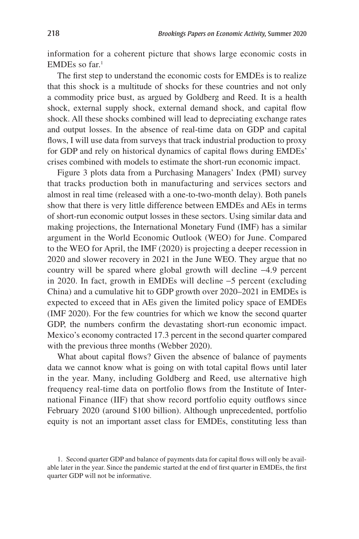information for a coherent picture that shows large economic costs in EMDEs so  $far<sup>1</sup>$ 

The first step to understand the economic costs for EMDEs is to realize that this shock is a multitude of shocks for these countries and not only a commodity price bust, as argued by Goldberg and Reed. It is a health shock, external supply shock, external demand shock, and capital flow shock. All these shocks combined will lead to depreciating exchange rates and output losses. In the absence of real-time data on GDP and capital flows, I will use data from surveys that track industrial production to proxy for GDP and rely on historical dynamics of capital flows during EMDEs' crises combined with models to estimate the short-run economic impact.

Figure 3 plots data from a Purchasing Managers' Index (PMI) survey that tracks production both in manufacturing and services sectors and almost in real time (released with a one-to-two-month delay). Both panels show that there is very little difference between EMDEs and AEs in terms of short-run economic output losses in these sectors. Using similar data and making projections, the International Monetary Fund (IMF) has a similar argument in the World Economic Outlook (WEO) for June. Compared to the WEO for April, the IMF (2020) is projecting a deeper recession in 2020 and slower recovery in 2021 in the June WEO. They argue that no country will be spared where global growth will decline −4.9 percent in 2020. In fact, growth in EMDEs will decline −5 percent (excluding China) and a cumulative hit to GDP growth over 2020–2021 in EMDEs is expected to exceed that in AEs given the limited policy space of EMDEs (IMF 2020). For the few countries for which we know the second quarter GDP, the numbers confirm the devastating short-run economic impact. Mexico's economy contracted 17.3 percent in the second quarter compared with the previous three months (Webber 2020).

What about capital flows? Given the absence of balance of payments data we cannot know what is going on with total capital flows until later in the year. Many, including Goldberg and Reed, use alternative high frequency real-time data on portfolio flows from the Institute of International Finance (IIF) that show record portfolio equity outflows since February 2020 (around \$100 billion). Although unprecedented, portfolio equity is not an important asset class for EMDEs, constituting less than

<sup>1.</sup> Second quarter GDP and balance of payments data for capital flows will only be available later in the year. Since the pandemic started at the end of first quarter in EMDEs, the first quarter GDP will not be informative.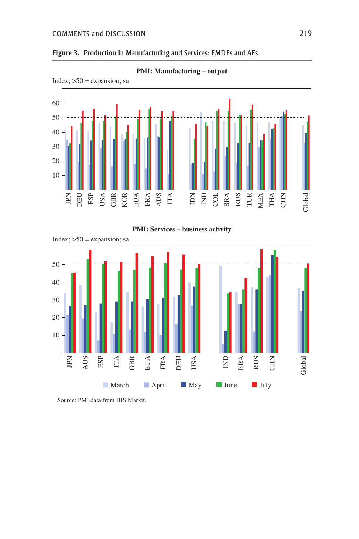

**PMI: Manufacturing – output**

**Figure 3.** Production in Manufacturing and Services: EMDEs and AEs



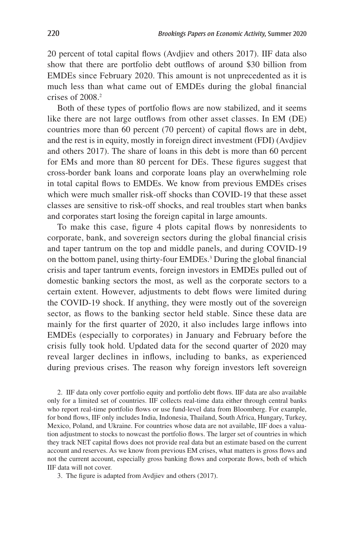20 percent of total capital flows (Avdjiev and others 2017). IIF data also show that there are portfolio debt outflows of around \$30 billion from EMDEs since February 2020. This amount is not unprecedented as it is much less than what came out of EMDEs during the global financial crises of  $2008<sup>2</sup>$ 

Both of these types of portfolio flows are now stabilized, and it seems like there are not large outflows from other asset classes. In EM (DE) countries more than 60 percent (70 percent) of capital flows are in debt, and the rest is in equity, mostly in foreign direct investment (FDI) (Avdjiev and others 2017). The share of loans in this debt is more than 60 percent for EMs and more than 80 percent for DEs. These figures suggest that cross-border bank loans and corporate loans play an overwhelming role in total capital flows to EMDEs. We know from previous EMDEs crises which were much smaller risk-off shocks than COVID-19 that these asset classes are sensitive to risk-off shocks, and real troubles start when banks and corporates start losing the foreign capital in large amounts.

To make this case, figure 4 plots capital flows by nonresidents to corporate, bank, and sovereign sectors during the global financial crisis and taper tantrum on the top and middle panels, and during COVID-19 on the bottom panel, using thirty-four EMDEs.<sup>3</sup> During the global financial crisis and taper tantrum events, foreign investors in EMDEs pulled out of domestic banking sectors the most, as well as the corporate sectors to a certain extent. However, adjustments to debt flows were limited during the COVID-19 shock. If anything, they were mostly out of the sovereign sector, as flows to the banking sector held stable. Since these data are mainly for the first quarter of 2020, it also includes large inflows into EMDEs (especially to corporates) in January and February before the crisis fully took hold. Updated data for the second quarter of 2020 may reveal larger declines in inflows, including to banks, as experienced during previous crises. The reason why foreign investors left sovereign

2. IIF data only cover portfolio equity and portfolio debt flows. IIF data are also available only for a limited set of countries. IIF collects real-time data either through central banks who report real-time portfolio flows or use fund-level data from Bloomberg. For example, for bond flows, IIF only includes India, Indonesia, Thailand, South Africa, Hungary, Turkey, Mexico, Poland, and Ukraine. For countries whose data are not available, IIF does a valuation adjustment to stocks to nowcast the portfolio flows. The larger set of countries in which they track NET capital flows does not provide real data but an estimate based on the current account and reserves. As we know from previous EM crises, what matters is gross flows and not the current account, especially gross banking flows and corporate flows, both of which IIF data will not cover.

3. The figure is adapted from Avdjiev and others (2017).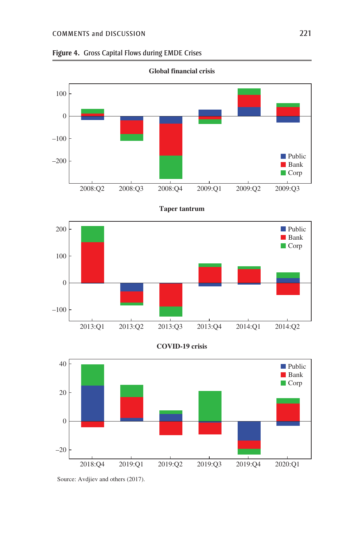











Source: Avdjiev and others (2017).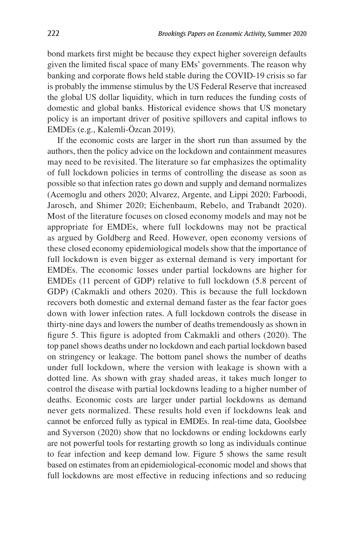bond markets first might be because they expect higher sovereign defaults given the limited fiscal space of many EMs' governments. The reason why banking and corporate flows held stable during the COVID-19 crisis so far is probably the immense stimulus by the US Federal Reserve that increased the global US dollar liquidity, which in turn reduces the funding costs of domestic and global banks. Historical evidence shows that US monetary policy is an important driver of positive spillovers and capital inflows to EMDEs (e.g., Kalemli-Özcan 2019).

If the economic costs are larger in the short run than assumed by the authors, then the policy advice on the lockdown and containment measures may need to be revisited. The literature so far emphasizes the optimality of full lockdown policies in terms of controlling the disease as soon as possible so that infection rates go down and supply and demand normalizes (Acemoglu and others 2020; Alvarez, Argente, and Lippi 2020; Farboodi, Jarosch, and Shimer 2020; Eichenbaum, Rebelo, and Trabandt 2020). Most of the literature focuses on closed economy models and may not be appropriate for EMDEs, where full lockdowns may not be practical as argued by Goldberg and Reed. However, open economy versions of these closed economy epidemiological models show that the importance of full lockdown is even bigger as external demand is very important for EMDEs. The economic losses under partial lockdowns are higher for EMDEs (11 percent of GDP) relative to full lockdown (5.8 percent of GDP) (Cakmakli and others 2020). This is because the full lockdown recovers both domestic and external demand faster as the fear factor goes down with lower infection rates. A full lockdown controls the disease in thirty-nine days and lowers the number of deaths tremendously as shown in figure 5. This figure is adopted from Cakmakli and others (2020). The top panel shows deaths under no lockdown and each partial lockdown based on stringency or leakage. The bottom panel shows the number of deaths under full lockdown, where the version with leakage is shown with a dotted line. As shown with gray shaded areas, it takes much longer to control the disease with partial lockdowns leading to a higher number of deaths. Economic costs are larger under partial lockdowns as demand never gets normalized. These results hold even if lockdowns leak and cannot be enforced fully as typical in EMDEs. In real-time data, Goolsbee and Syverson (2020) show that no lockdowns or ending lockdowns early are not powerful tools for restarting growth so long as individuals continue to fear infection and keep demand low. Figure 5 shows the same result based on estimates from an epidemiological-economic model and shows that full lockdowns are most effective in reducing infections and so reducing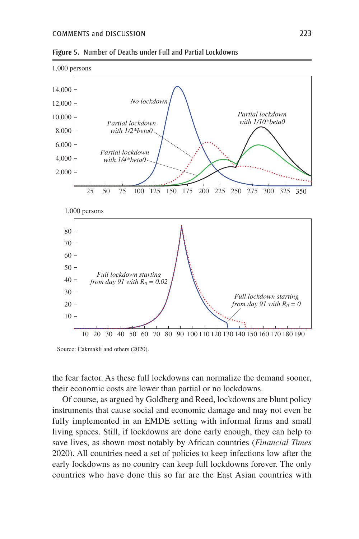

**Figure 5.** Number of Deaths under Full and Partial Lockdowns

Source: Cakmakli and others (2020).

the fear factor. As these full lockdowns can normalize the demand sooner, their economic costs are lower than partial or no lockdowns.

Of course, as argued by Goldberg and Reed, lockdowns are blunt policy instruments that cause social and economic damage and may not even be fully implemented in an EMDE setting with informal firms and small living spaces. Still, if lockdowns are done early enough, they can help to save lives, as shown most notably by African countries (*Financial Times* 2020). All countries need a set of policies to keep infections low after the early lockdowns as no country can keep full lockdowns forever. The only countries who have done this so far are the East Asian countries with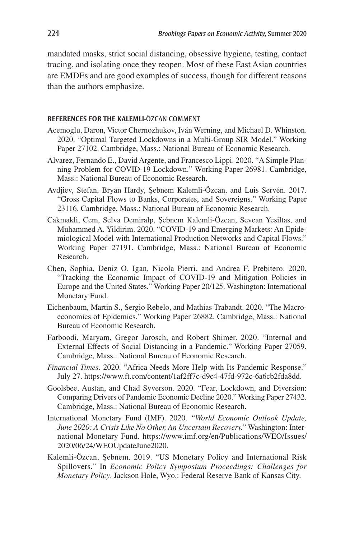mandated masks, strict social distancing, obsessive hygiene, testing, contact tracing, and isolating once they reopen. Most of these East Asian countries are EMDEs and are good examples of success, though for different reasons than the authors emphasize.

#### **REFERENCES FOR THE KALEMLI-**ÖZCAN COMMENT

- Acemoglu, Daron, Victor Chernozhukov, Iván Werning, and Michael D. Whinston. 2020. "Optimal Targeted Lockdowns in a Multi-Group SIR Model." Working Paper 27102. Cambridge, Mass.: National Bureau of Economic Research.
- Alvarez, Fernando E., David Argente, and Francesco Lippi. 2020. "A Simple Planning Problem for COVID-19 Lockdown." Working Paper 26981. Cambridge, Mass.: National Bureau of Economic Research.
- Avdjiev, Stefan, Bryan Hardy, Şebnem Kalemli-Özcan, and Luis Servén. 2017. "Gross Capital Flows to Banks, Corporates, and Sovereigns." Working Paper 23116. Cambridge, Mass.: National Bureau of Economic Research.
- Cakmakli, Cem, Selva Demiralp, Şebnem Kalemli-Özcan, Sevcan Yesiltas, and Muhammed A. Yildirim. 2020. "COVID-19 and Emerging Markets: An Epidemiological Model with International Production Networks and Capital Flows." Working Paper 27191. Cambridge, Mass.: National Bureau of Economic Research.
- Chen, Sophia, Deniz O. Igan, Nicola Pierri, and Andrea F. Prebitero. 2020. "Tracking the Economic Impact of COVID-19 and Mitigation Policies in Europe and the United States." Working Paper 20/125. Washington: International Monetary Fund.
- Eichenbaum, Martin S., Sergio Rebelo, and Mathias Trabandt. 2020. "The Macroeconomics of Epidemics." Working Paper 26882. Cambridge, Mass.: National Bureau of Economic Research.
- Farboodi, Maryam, Gregor Jarosch, and Robert Shimer. 2020. "Internal and External Effects of Social Distancing in a Pandemic." Working Paper 27059. Cambridge, Mass.: National Bureau of Economic Research.
- *Financial Times*. 2020. "Africa Needs More Help with Its Pandemic Response." July 27. https://www.ft.com/content/1af2ff7c-d9c4-47fd-972c-6a6cb2fda8dd.
- Goolsbee, Austan, and Chad Syverson. 2020. "Fear, Lockdown, and Diversion: Comparing Drivers of Pandemic Economic Decline 2020." Working Paper 27432. Cambridge, Mass.: National Bureau of Economic Research.
- International Monetary Fund (IMF). 2020. *"World Economic Outlook Update, June 2020: A Crisis Like No Other, An Uncertain Recovery."* Washington: International Monetary Fund. https://www.imf.org/en/Publications/WEO/Issues/ 2020/06/24/WEOUpdateJune2020.
- Kalemli-Özcan, Şebnem. 2019. "US Monetary Policy and International Risk Spillovers." In *Economic Policy Symposium Proceedings: Challenges for Monetary Policy*. Jackson Hole, Wyo.: Federal Reserve Bank of Kansas City.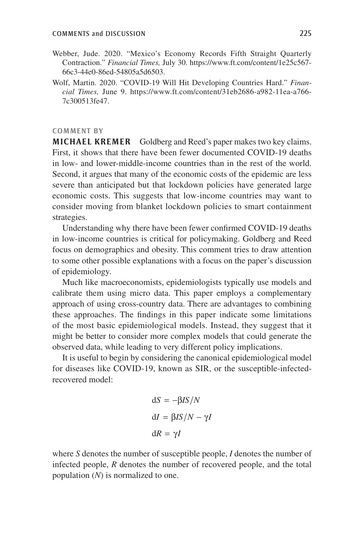- Webber, Jude. 2020. "Mexico's Economy Records Fifth Straight Quarterly Contraction." *Financial Times,* July 30. https://www.ft.com/content/1e25c567- 66c3-44e0-86ed-54805a5d6503.
- Wolf, Martin. 2020. "COVID-19 Will Hit Developing Countries Hard." *Financial Times,* June 9. https://www.ft.com/content/31eb2686-a982-11ea-a766- 7c300513fe47.

#### **COMMENT BY**

**MICHAEL KREMER** Goldberg and Reed's paper makes two key claims. First, it shows that there have been fewer documented COVID-19 deaths in low- and lower-middle-income countries than in the rest of the world. Second, it argues that many of the economic costs of the epidemic are less severe than anticipated but that lockdown policies have generated large economic costs. This suggests that low-income countries may want to consider moving from blanket lockdown policies to smart containment strategies.

Understanding why there have been fewer confirmed COVID-19 deaths in low-income countries is critical for policymaking. Goldberg and Reed focus on demographics and obesity. This comment tries to draw attention to some other possible explanations with a focus on the paper's discussion of epidemiology.

Much like macroeconomists, epidemiologists typically use models and calibrate them using micro data. This paper employs a complementary approach of using cross-country data. There are advantages to combining these approaches. The findings in this paper indicate some limitations of the most basic epidemiological models. Instead, they suggest that it might be better to consider more complex models that could generate the observed data, while leading to very different policy implications.

It is useful to begin by considering the canonical epidemiological model for diseases like COVID-19, known as SIR, or the susceptible-infectedrecovered model:

$$
dS = -\beta IS/N
$$

$$
dI = \beta IS/N - \gamma I
$$

$$
dR = \gamma I
$$

where *S* denotes the number of susceptible people, *I* denotes the number of infected people, *R* denotes the number of recovered people, and the total population (*N*) is normalized to one.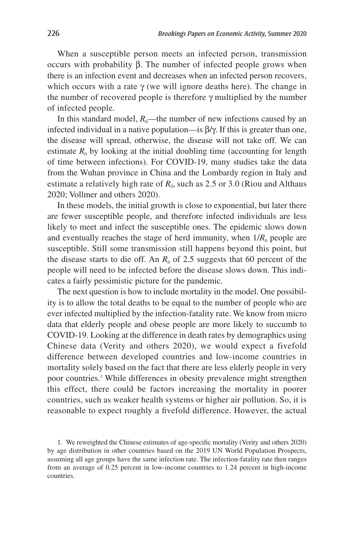When a susceptible person meets an infected person, transmission occurs with probability β. The number of infected people grows when there is an infection event and decreases when an infected person recovers, which occurs with a rate  $\gamma$  (we will ignore deaths here). The change in the number of recovered people is therefore  $\gamma$  multiplied by the number of infected people.

In this standard model,  $R_0$ —the number of new infections caused by an infected individual in a native population—is β/γ. If this is greater than one, the disease will spread, otherwise, the disease will not take off. We can estimate  $R_0$  by looking at the initial doubling time (accounting for length of time between infections). For COVID-19, many studies take the data from the Wuhan province in China and the Lombardy region in Italy and estimate a relatively high rate of  $R_0$ , such as 2.5 or 3.0 (Riou and Althaus 2020; Vollmer and others 2020).

In these models, the initial growth is close to exponential, but later there are fewer susceptible people, and therefore infected individuals are less likely to meet and infect the susceptible ones. The epidemic slows down and eventually reaches the stage of herd immunity, when  $1/R_0$  people are susceptible. Still some transmission still happens beyond this point, but the disease starts to die off. An  $R_0$  of 2.5 suggests that 60 percent of the people will need to be infected before the disease slows down. This indicates a fairly pessimistic picture for the pandemic.

The next question is how to include mortality in the model. One possibility is to allow the total deaths to be equal to the number of people who are ever infected multiplied by the infection-fatality rate. We know from micro data that elderly people and obese people are more likely to succumb to COVID-19. Looking at the difference in death rates by demographics using Chinese data (Verity and others 2020), we would expect a fivefold difference between developed countries and low-income countries in mortality solely based on the fact that there are less elderly people in very poor countries.<sup>1</sup> While differences in obesity prevalence might strengthen this effect, there could be factors increasing the mortality in poorer countries, such as weaker health systems or higher air pollution. So, it is reasonable to expect roughly a fivefold difference. However, the actual

1. We reweighted the Chinese estimates of age-specific mortality (Verity and others 2020) by age distribution in other countries based on the 2019 UN World Population Prospects, assuming all age groups have the same infection rate. The infection-fatality rate then ranges from an average of 0.25 percent in low-income countries to 1.24 percent in high-income countries.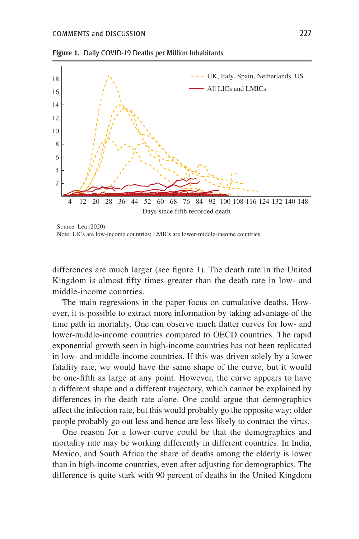

**Figure 1.** Daily COVID-19 Deaths per Million Inhabitants

differences are much larger (see figure 1). The death rate in the United Kingdom is almost fifty times greater than the death rate in low- and middle-income countries.

The main regressions in the paper focus on cumulative deaths. However, it is possible to extract more information by taking advantage of the time path in mortality. One can observe much flatter curves for low- and lower-middle-income countries compared to OECD countries. The rapid exponential growth seen in high-income countries has not been replicated in low- and middle-income countries. If this was driven solely by a lower fatality rate, we would have the same shape of the curve, but it would be one-fifth as large at any point. However, the curve appears to have a different shape and a different trajectory, which cannot be explained by differences in the death rate alone. One could argue that demographics affect the infection rate, but this would probably go the opposite way; older people probably go out less and hence are less likely to contract the virus.

One reason for a lower curve could be that the demographics and mortality rate may be working differently in different countries. In India, Mexico, and South Africa the share of deaths among the elderly is lower than in high-income countries, even after adjusting for demographics. The difference is quite stark with 90 percent of deaths in the United Kingdom

Source: Lea (2020). Note: LICs are low-income countries; LMICs are lower-middle-income countries.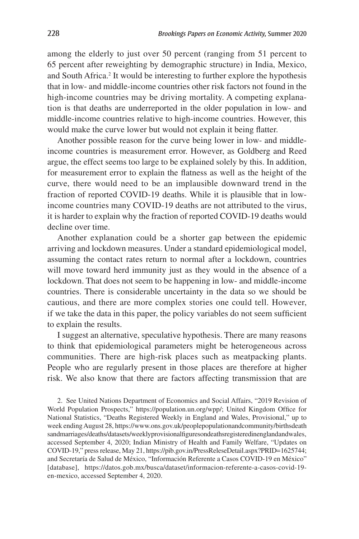among the elderly to just over 50 percent (ranging from 51 percent to 65 percent after reweighting by demographic structure) in India, Mexico, and South Africa.<sup>2</sup> It would be interesting to further explore the hypothesis that in low- and middle-income countries other risk factors not found in the high-income countries may be driving mortality. A competing explanation is that deaths are underreported in the older population in low- and middle-income countries relative to high-income countries. However, this would make the curve lower but would not explain it being flatter.

Another possible reason for the curve being lower in low- and middleincome countries is measurement error. However, as Goldberg and Reed argue, the effect seems too large to be explained solely by this. In addition, for measurement error to explain the flatness as well as the height of the curve, there would need to be an implausible downward trend in the fraction of reported COVID-19 deaths. While it is plausible that in lowincome countries many COVID-19 deaths are not attributed to the virus, it is harder to explain why the fraction of reported COVID-19 deaths would decline over time.

Another explanation could be a shorter gap between the epidemic arriving and lockdown measures. Under a standard epidemiological model, assuming the contact rates return to normal after a lockdown, countries will move toward herd immunity just as they would in the absence of a lockdown. That does not seem to be happening in low- and middle-income countries. There is considerable uncertainty in the data so we should be cautious, and there are more complex stories one could tell. However, if we take the data in this paper, the policy variables do not seem sufficient to explain the results.

I suggest an alternative, speculative hypothesis. There are many reasons to think that epidemiological parameters might be heterogeneous across communities. There are high-risk places such as meatpacking plants. People who are regularly present in those places are therefore at higher risk. We also know that there are factors affecting transmission that are

2. See United Nations Department of Economics and Social Affairs, "2019 Revision of World Population Prospects," https://population.un.org/wpp/; United Kingdom Office for National Statistics, "Deaths Registered Weekly in England and Wales, Provisional," up to week ending August 28, https://www.ons.gov.uk/peoplepopulationandcommunity/birthsdeath sandmarriages/deaths/datasets/weeklyprovisionalfiguresondeathsregisteredinenglandandwales, accessed September 4, 2020; Indian Ministry of Health and Family Welfare, "Updates on COVID-19," press release, May 21, https://pib.gov.in/PressReleseDetail.aspx?PRID=1625744; and Secretaría de Salud de México, "Información Referente a Casos COVID-19 en México" [database], https://datos.gob.mx/busca/dataset/informacion-referente-a-casos-covid-19 en-mexico, accessed September 4, 2020.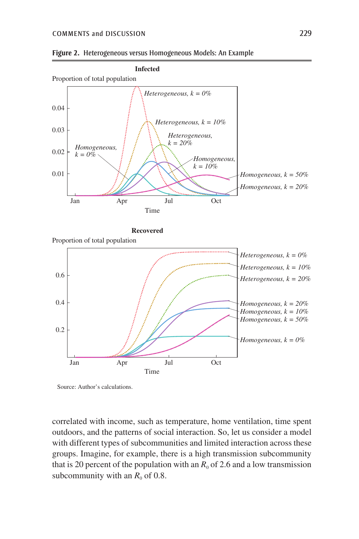

**Figure 2.** Heterogeneous versus Homogeneous Models: An Example

Source: Author's calculations.

correlated with income, such as temperature, home ventilation, time spent outdoors, and the patterns of social interaction. So, let us consider a model with different types of subcommunities and limited interaction across these groups. Imagine, for example, there is a high transmission subcommunity that is 20 percent of the population with an  $R_0$  of 2.6 and a low transmission subcommunity with an  $R_0$  of 0.8.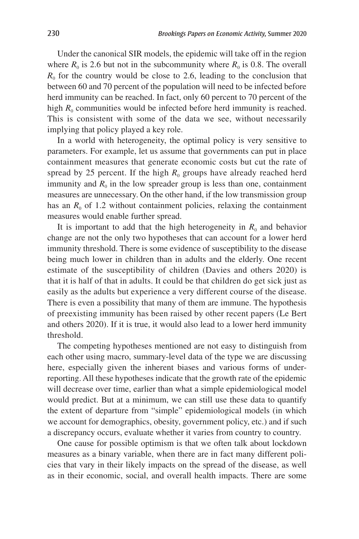Under the canonical SIR models, the epidemic will take off in the region where  $R_0$  is 2.6 but not in the subcommunity where  $R_0$  is 0.8. The overall  $R_0$  for the country would be close to 2.6, leading to the conclusion that between 60 and 70 percent of the population will need to be infected before herd immunity can be reached. In fact, only 60 percent to 70 percent of the high  $R_0$  communities would be infected before herd immunity is reached. This is consistent with some of the data we see, without necessarily implying that policy played a key role.

In a world with heterogeneity, the optimal policy is very sensitive to parameters. For example, let us assume that governments can put in place containment measures that generate economic costs but cut the rate of spread by 25 percent. If the high  $R_0$  groups have already reached herd immunity and  $R_0$  in the low spreader group is less than one, containment measures are unnecessary. On the other hand, if the low transmission group has an  $R_0$  of 1.2 without containment policies, relaxing the containment measures would enable further spread.

It is important to add that the high heterogeneity in  $R_0$  and behavior change are not the only two hypotheses that can account for a lower herd immunity threshold. There is some evidence of susceptibility to the disease being much lower in children than in adults and the elderly. One recent estimate of the susceptibility of children (Davies and others 2020) is that it is half of that in adults. It could be that children do get sick just as easily as the adults but experience a very different course of the disease. There is even a possibility that many of them are immune. The hypothesis of preexisting immunity has been raised by other recent papers (Le Bert and others 2020). If it is true, it would also lead to a lower herd immunity threshold.

The competing hypotheses mentioned are not easy to distinguish from each other using macro, summary-level data of the type we are discussing here, especially given the inherent biases and various forms of underreporting. All these hypotheses indicate that the growth rate of the epidemic will decrease over time, earlier than what a simple epidemiological model would predict. But at a minimum, we can still use these data to quantify the extent of departure from "simple" epidemiological models (in which we account for demographics, obesity, government policy, etc.) and if such a discrepancy occurs, evaluate whether it varies from country to country.

One cause for possible optimism is that we often talk about lockdown measures as a binary variable, when there are in fact many different policies that vary in their likely impacts on the spread of the disease, as well as in their economic, social, and overall health impacts. There are some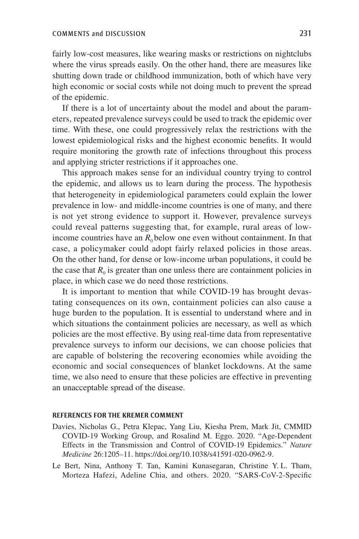fairly low-cost measures, like wearing masks or restrictions on nightclubs where the virus spreads easily. On the other hand, there are measures like shutting down trade or childhood immunization, both of which have very high economic or social costs while not doing much to prevent the spread of the epidemic.

If there is a lot of uncertainty about the model and about the parameters, repeated prevalence surveys could be used to track the epidemic over time. With these, one could progressively relax the restrictions with the lowest epidemiological risks and the highest economic benefits. It would require monitoring the growth rate of infections throughout this process and applying stricter restrictions if it approaches one.

This approach makes sense for an individual country trying to control the epidemic, and allows us to learn during the process. The hypothesis that heterogeneity in epidemiological parameters could explain the lower prevalence in low- and middle-income countries is one of many, and there is not yet strong evidence to support it. However, prevalence surveys could reveal patterns suggesting that, for example, rural areas of lowincome countries have an  $R_0$  below one even without containment. In that case, a policymaker could adopt fairly relaxed policies in those areas. On the other hand, for dense or low-income urban populations, it could be the case that  $R_0$  is greater than one unless there are containment policies in place, in which case we do need those restrictions.

It is important to mention that while COVID-19 has brought devastating consequences on its own, containment policies can also cause a huge burden to the population. It is essential to understand where and in which situations the containment policies are necessary, as well as which policies are the most effective. By using real-time data from representative prevalence surveys to inform our decisions, we can choose policies that are capable of bolstering the recovering economies while avoiding the economic and social consequences of blanket lockdowns. At the same time, we also need to ensure that these policies are effective in preventing an unacceptable spread of the disease.

## **REFERENCES FOR THE KREMER COMMENT**

- Davies, Nicholas G., Petra Klepac, Yang Liu, Kiesha Prem, Mark Jit, CMMID COVID-19 Working Group, and Rosalind M. Eggo. 2020. "Age-Dependent Effects in the Transmission and Control of COVID-19 Epidemics." *Nature Medicine* 26:1205–11. https://doi.org/10.1038/s41591-020-0962-9.
- Le Bert, Nina, Anthony T. Tan, Kamini Kunasegaran, Christine Y. L. Tham, Morteza Hafezi, Adeline Chia, and others. 2020. "SARS-CoV-2-Specific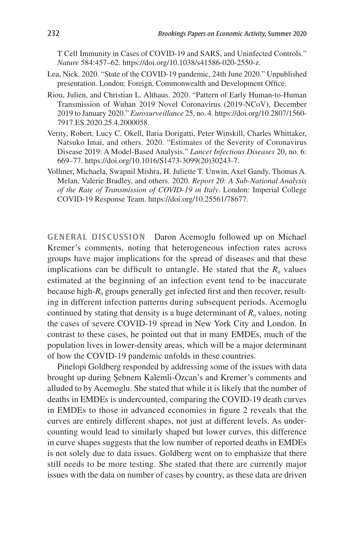T Cell Immunity in Cases of COVID-19 and SARS, and Uninfected Controls." *Nature* 584:457–62. https://doi.org/10.1038/s41586-020-2550-z.

- Lea, Nick. 2020. "State of the COVID-19 pandemic, 24th June 2020." Unpublished presentation. London: Foreign, Commonwealth and Development Office.
- Riou, Julien, and Christian L. Althaus. 2020. "Pattern of Early Human-to-Human Transmission of Wuhan 2019 Novel Coronavirus (2019-NCoV), December 2019 to January 2020." *Eurosurveillance* 25, no. 4. https://doi.org/10.2807/1560- 7917.ES.2020.25.4.2000058.
- Verity, Robert, Lucy C. Okell, Ilaria Dorigatti, Peter Winskill, Charles Whittaker, Natsuko Imai, and others. 2020. "Estimates of the Severity of Coronavirus Disease 2019: A Model-Based Analysis." *Lancet Infectious Diseases* 20, no. 6: 669–77. https://doi.org/10.1016/S1473-3099(20)30243-7.
- Vollmer, Michaela, Swapnil Mishra, H. Juliette T. Unwin, Axel Gandy, Thomas A. Melan, Valerie Bradley, and others. 2020. *Report 20: A Sub-National Analysis of the Rate of Transmission of COVID-19 in Italy*. London: Imperial College COVID-19 Response Team. https://doi.org/10.25561/78677.

**GENERAL DISCUSSION** Daron Acemoglu followed up on Michael Kremer's comments, noting that heterogeneous infection rates across groups have major implications for the spread of diseases and that these implications can be difficult to untangle. He stated that the  $R_0$  values estimated at the beginning of an infection event tend to be inaccurate because high- $R_0$  groups generally get infected first and then recover, resulting in different infection patterns during subsequent periods. Acemoglu continued by stating that density is a huge determinant of  $R_0$  values, noting the cases of severe COVID-19 spread in New York City and London. In contrast to these cases, he pointed out that in many EMDEs, much of the population lives in lower-density areas, which will be a major determinant of how the COVID-19 pandemic unfolds in these countries.

Pinelopi Goldberg responded by addressing some of the issues with data brought up during Sebnem Kalemli-Özcan's and Kremer's comments and alluded to by Acemoglu. She stated that while it is likely that the number of deaths in EMDEs is undercounted, comparing the COVID-19 death curves in EMDEs to those in advanced economies in figure 2 reveals that the curves are entirely different shapes, not just at different levels. As undercounting would lead to similarly shaped but lower curves, this difference in curve shapes suggests that the low number of reported deaths in EMDEs is not solely due to data issues. Goldberg went on to emphasize that there still needs to be more testing. She stated that there are currently major issues with the data on number of cases by country, as these data are driven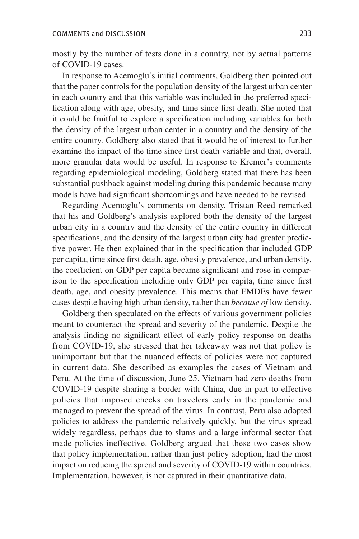mostly by the number of tests done in a country, not by actual patterns of COVID-19 cases.

In response to Acemoglu's initial comments, Goldberg then pointed out that the paper controls for the population density of the largest urban center in each country and that this variable was included in the preferred specification along with age, obesity, and time since first death. She noted that it could be fruitful to explore a specification including variables for both the density of the largest urban center in a country and the density of the entire country. Goldberg also stated that it would be of interest to further examine the impact of the time since first death variable and that, overall, more granular data would be useful. In response to Kremer's comments regarding epidemiological modeling, Goldberg stated that there has been substantial pushback against modeling during this pandemic because many models have had significant shortcomings and have needed to be revised.

Regarding Acemoglu's comments on density, Tristan Reed remarked that his and Goldberg's analysis explored both the density of the largest urban city in a country and the density of the entire country in different specifications, and the density of the largest urban city had greater predictive power. He then explained that in the specification that included GDP per capita, time since first death, age, obesity prevalence, and urban density, the coefficient on GDP per capita became significant and rose in comparison to the specification including only GDP per capita, time since first death, age, and obesity prevalence. This means that EMDEs have fewer cases despite having high urban density, rather than *because of* low density.

Goldberg then speculated on the effects of various government policies meant to counteract the spread and severity of the pandemic. Despite the analysis finding no significant effect of early policy response on deaths from COVID-19, she stressed that her takeaway was not that policy is unimportant but that the nuanced effects of policies were not captured in current data. She described as examples the cases of Vietnam and Peru. At the time of discussion, June 25, Vietnam had zero deaths from COVID-19 despite sharing a border with China, due in part to effective policies that imposed checks on travelers early in the pandemic and managed to prevent the spread of the virus. In contrast, Peru also adopted policies to address the pandemic relatively quickly, but the virus spread widely regardless, perhaps due to slums and a large informal sector that made policies ineffective. Goldberg argued that these two cases show that policy implementation, rather than just policy adoption, had the most impact on reducing the spread and severity of COVID-19 within countries. Implementation, however, is not captured in their quantitative data.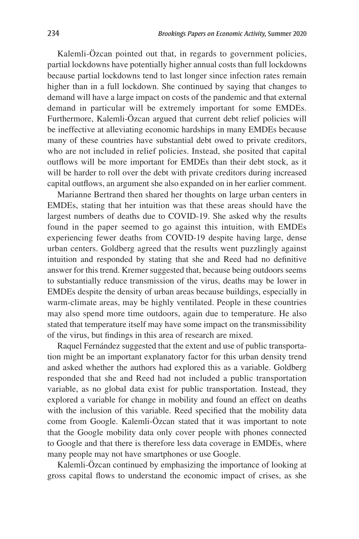Kalemli-Özcan pointed out that, in regards to government policies, partial lockdowns have potentially higher annual costs than full lockdowns because partial lockdowns tend to last longer since infection rates remain higher than in a full lockdown. She continued by saying that changes to demand will have a large impact on costs of the pandemic and that external demand in particular will be extremely important for some EMDEs. Furthermore, Kalemli-Özcan argued that current debt relief policies will be ineffective at alleviating economic hardships in many EMDEs because many of these countries have substantial debt owed to private creditors, who are not included in relief policies. Instead, she posited that capital outflows will be more important for EMDEs than their debt stock, as it will be harder to roll over the debt with private creditors during increased capital outflows, an argument she also expanded on in her earlier comment.

Marianne Bertrand then shared her thoughts on large urban centers in EMDEs, stating that her intuition was that these areas should have the largest numbers of deaths due to COVID-19. She asked why the results found in the paper seemed to go against this intuition, with EMDEs experiencing fewer deaths from COVID-19 despite having large, dense urban centers. Goldberg agreed that the results went puzzlingly against intuition and responded by stating that she and Reed had no definitive answer for this trend. Kremer suggested that, because being outdoors seems to substantially reduce transmission of the virus, deaths may be lower in EMDEs despite the density of urban areas because buildings, especially in warm-climate areas, may be highly ventilated. People in these countries may also spend more time outdoors, again due to temperature. He also stated that temperature itself may have some impact on the transmissibility of the virus, but findings in this area of research are mixed.

Raquel Fernández suggested that the extent and use of public transportation might be an important explanatory factor for this urban density trend and asked whether the authors had explored this as a variable. Goldberg responded that she and Reed had not included a public transportation variable, as no global data exist for public transportation. Instead, they explored a variable for change in mobility and found an effect on deaths with the inclusion of this variable. Reed specified that the mobility data come from Google. Kalemli-Özcan stated that it was important to note that the Google mobility data only cover people with phones connected to Google and that there is therefore less data coverage in EMDEs, where many people may not have smartphones or use Google.

Kalemli-Özcan continued by emphasizing the importance of looking at gross capital flows to understand the economic impact of crises, as she